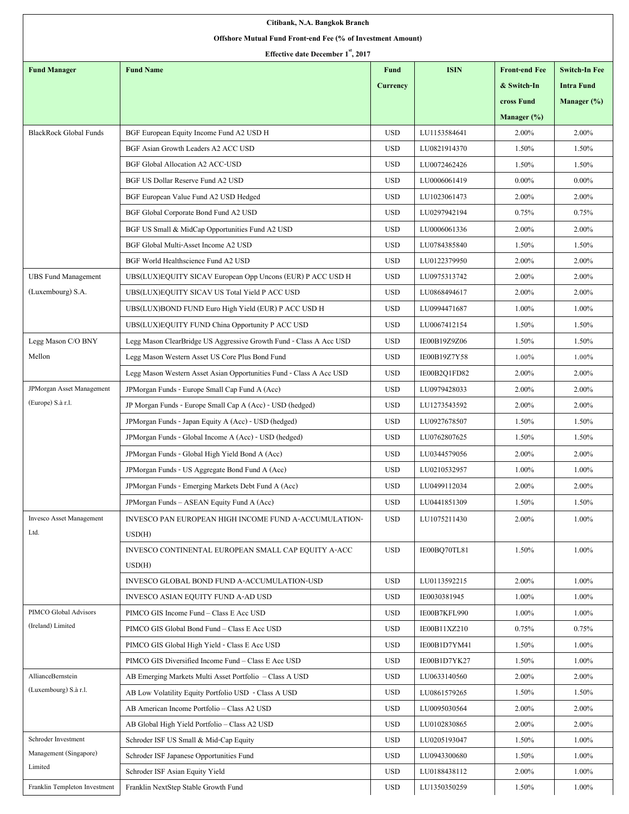| Citibank, N.A. Bangkok Branch                               |                                                                     |                 |              |                      |                      |  |  |  |  |  |
|-------------------------------------------------------------|---------------------------------------------------------------------|-----------------|--------------|----------------------|----------------------|--|--|--|--|--|
| Offshore Mutual Fund Front-end Fee (% of Investment Amount) |                                                                     |                 |              |                      |                      |  |  |  |  |  |
| Effective date December 1 <sup>st</sup> , 2017              |                                                                     |                 |              |                      |                      |  |  |  |  |  |
| <b>Fund Manager</b>                                         | <b>Fund Name</b>                                                    | <b>Fund</b>     | <b>ISIN</b>  | <b>Front-end Fee</b> | <b>Switch-In Fee</b> |  |  |  |  |  |
|                                                             |                                                                     | <b>Currency</b> |              | & Switch-In          | <b>Intra Fund</b>    |  |  |  |  |  |
|                                                             |                                                                     |                 |              | cross Fund           | Manager (%)          |  |  |  |  |  |
|                                                             |                                                                     |                 |              | Manager $(\%)$       |                      |  |  |  |  |  |
| <b>BlackRock Global Funds</b>                               | BGF European Equity Income Fund A2 USD H                            | <b>USD</b>      | LU1153584641 | 2.00%                | 2.00%                |  |  |  |  |  |
|                                                             | BGF Asian Growth Leaders A2 ACC USD                                 | <b>USD</b>      | LU0821914370 | 1.50%                | 1.50%                |  |  |  |  |  |
|                                                             | <b>BGF Global Allocation A2 ACC-USD</b>                             | <b>USD</b>      | LU0072462426 | 1.50%                | 1.50%                |  |  |  |  |  |
|                                                             | BGF US Dollar Reserve Fund A2 USD                                   | <b>USD</b>      | LU0006061419 | $0.00\%$             | $0.00\%$             |  |  |  |  |  |
|                                                             | BGF European Value Fund A2 USD Hedged                               | <b>USD</b>      | LU1023061473 | 2.00%                | 2.00%                |  |  |  |  |  |
|                                                             | BGF Global Corporate Bond Fund A2 USD                               | <b>USD</b>      | LU0297942194 | 0.75%                | 0.75%                |  |  |  |  |  |
|                                                             | BGF US Small & MidCap Opportunities Fund A2 USD                     | <b>USD</b>      | LU0006061336 | 2.00%                | 2.00%                |  |  |  |  |  |
|                                                             | BGF Global Multi-Asset Income A2 USD                                | <b>USD</b>      | LU0784385840 | 1.50%                | 1.50%                |  |  |  |  |  |
|                                                             | BGF World Healthscience Fund A2 USD                                 | <b>USD</b>      | LU0122379950 | 2.00%                | 2.00%                |  |  |  |  |  |
| <b>UBS Fund Management</b>                                  | UBS(LUX)EQUITY SICAV European Opp Uncons (EUR) P ACC USD H          | <b>USD</b>      | LU0975313742 | 2.00%                | 2.00%                |  |  |  |  |  |
| (Luxembourg) S.A.                                           | UBS(LUX)EQUITY SICAV US Total Yield P ACC USD                       | <b>USD</b>      | LU0868494617 | 2.00%                | 2.00%                |  |  |  |  |  |
|                                                             | UBS(LUX)BOND FUND Euro High Yield (EUR) P ACC USD H                 | <b>USD</b>      | LU0994471687 | 1.00%                | 1.00%                |  |  |  |  |  |
|                                                             | UBS(LUX)EQUITY FUND China Opportunity P ACC USD                     | <b>USD</b>      | LU0067412154 | 1.50%                | 1.50%                |  |  |  |  |  |
| Legg Mason C/O BNY                                          | Legg Mason ClearBridge US Aggressive Growth Fund - Class A Acc USD  | <b>USD</b>      | IE00B19Z9Z06 | 1.50%                | 1.50%                |  |  |  |  |  |
| Mellon                                                      | Legg Mason Western Asset US Core Plus Bond Fund                     | <b>USD</b>      | IE00B19Z7Y58 | 1.00%                | 1.00%                |  |  |  |  |  |
|                                                             | Legg Mason Western Asset Asian Opportunities Fund - Class A Acc USD | <b>USD</b>      | IE00B2Q1FD82 | 2.00%                | 2.00%                |  |  |  |  |  |
| <b>JPMorgan Asset Management</b>                            | JPMorgan Funds - Europe Small Cap Fund A (Acc)                      | <b>USD</b>      | LU0979428033 | 2.00%                | 2.00%                |  |  |  |  |  |
| (Europe) S.à r.l.                                           | JP Morgan Funds - Europe Small Cap A (Acc) - USD (hedged)           | <b>USD</b>      | LU1273543592 | 2.00%                | 2.00%                |  |  |  |  |  |
|                                                             | JPMorgan Funds - Japan Equity A (Acc) - USD (hedged)                | <b>USD</b>      | LU0927678507 | 1.50%                | 1.50%                |  |  |  |  |  |
|                                                             | JPMorgan Funds - Global Income A (Acc) - USD (hedged)               | <b>USD</b>      | LU0762807625 | 1.50%                | 1.50%                |  |  |  |  |  |
|                                                             | JPMorgan Funds - Global High Yield Bond A (Acc)                     | <b>USD</b>      | LU0344579056 | 2.00%                | 2.00%                |  |  |  |  |  |
|                                                             | JPM organ Funds - US Aggregate Bond Fund A (Acc)                    | <b>USD</b>      | LU0210532957 | 1.00%                | 1.00%                |  |  |  |  |  |
|                                                             | JPMorgan Funds - Emerging Markets Debt Fund A (Acc)                 | <b>USD</b>      | LU0499112034 | 2.00%                | 2.00%                |  |  |  |  |  |
|                                                             | JPM organ Funds - ASEAN Equity Fund A (Acc)                         | <b>USD</b>      | LU0441851309 | 1.50%                | 1.50%                |  |  |  |  |  |
| <b>Invesco Asset Management</b>                             | INVESCO PAN EUROPEAN HIGH INCOME FUND A-ACCUMULATION-               | <b>USD</b>      | LU1075211430 | 2.00%                | 1.00%                |  |  |  |  |  |
| Ltd.                                                        | USD(H)                                                              |                 |              |                      |                      |  |  |  |  |  |
|                                                             | INVESCO CONTINENTAL EUROPEAN SMALL CAP EQUITY A-ACC                 | <b>USD</b>      | IE00BQ70TL81 | 1.50%                | 1.00%                |  |  |  |  |  |
|                                                             | USD(H)                                                              |                 |              |                      |                      |  |  |  |  |  |
|                                                             | INVESCO GLOBAL BOND FUND A-ACCUMULATION-USD                         | <b>USD</b>      | LU0113592215 | 2.00%                | 1.00%                |  |  |  |  |  |
|                                                             | INVESCO ASIAN EQUITY FUND A-AD USD                                  | <b>USD</b>      | IE0030381945 | 1.00%                | 1.00%                |  |  |  |  |  |
| PIMCO Global Advisors                                       | PIMCO GIS Income Fund - Class E Acc USD                             | <b>USD</b>      | IE00B7KFL990 | 1.00%                | 1.00%                |  |  |  |  |  |
| (Ireland) Limited                                           | PIMCO GIS Global Bond Fund - Class E Acc USD                        | <b>USD</b>      | IE00B11XZ210 | 0.75%                | 0.75%                |  |  |  |  |  |
|                                                             | PIMCO GIS Global High Yield - Class E Acc USD                       | <b>USD</b>      | IE00B1D7YM41 | 1.50%                | 1.00%                |  |  |  |  |  |
|                                                             | PIMCO GIS Diversified Income Fund - Class E Acc USD                 | <b>USD</b>      | IE00B1D7YK27 | 1.50%                | 1.00%                |  |  |  |  |  |
| <b>AllianceBernstein</b>                                    | AB Emerging Markets Multi Asset Portfolio - Class A USD             | <b>USD</b>      | LU0633140560 | 2.00%                | 2.00%                |  |  |  |  |  |
| (Luxembourg) S.à r.l.                                       | AB Low Volatility Equity Portfolio USD - Class A USD                | <b>USD</b>      | LU0861579265 | 1.50%                | 1.50%                |  |  |  |  |  |
|                                                             | AB American Income Portfolio - Class A2 USD                         | <b>USD</b>      | LU0095030564 | 2.00%                | 2.00%                |  |  |  |  |  |
|                                                             | AB Global High Yield Portfolio - Class A2 USD                       | <b>USD</b>      | LU0102830865 | 2.00%                | 2.00%                |  |  |  |  |  |
| Schroder Investment                                         | Schroder ISF US Small & Mid-Cap Equity                              | <b>USD</b>      | LU0205193047 | 1.50%                | 1.00%                |  |  |  |  |  |
| Management (Singapore)                                      | Schroder ISF Japanese Opportunities Fund                            | <b>USD</b>      | LU0943300680 | 1.50%                | 1.00%                |  |  |  |  |  |
| Limited                                                     | Schroder ISF Asian Equity Yield                                     | <b>USD</b>      | LU0188438112 | 2.00%                | 1.00%                |  |  |  |  |  |
| Franklin Templeton Investment                               | Franklin NextStep Stable Growth Fund                                | <b>USD</b>      | LU1350350259 | 1.50%                | 1.00%                |  |  |  |  |  |